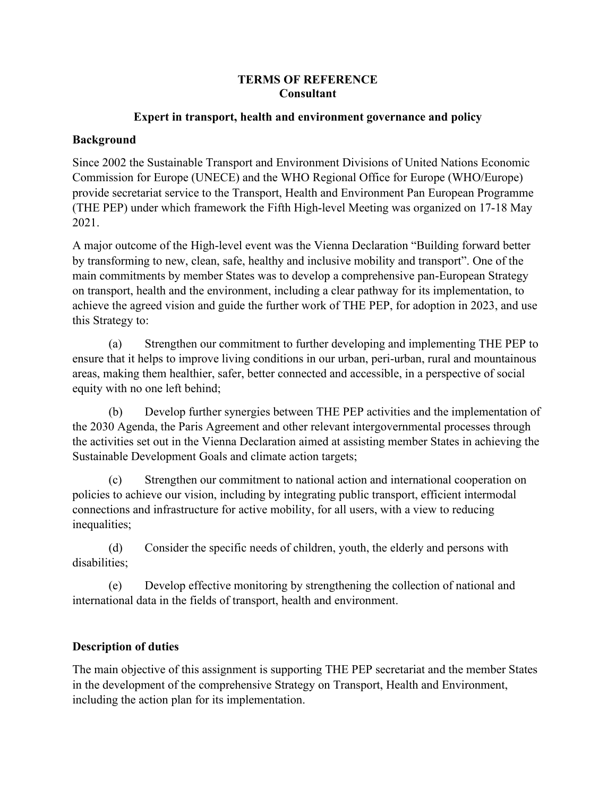#### **TERMS OF REFERENCE Consultant**

#### **Expert in transport, health and environment governance and policy**

#### **Background**

Since 2002 the Sustainable Transport and Environment Divisions of United Nations Economic Commission for Europe (UNECE) and the WHO Regional Office for Europe (WHO/Europe) provide secretariat service to the Transport, Health and Environment Pan European Programme (THE PEP) under which framework the Fifth High-level Meeting was organized on 17-18 May 2021.

A major outcome of the High-level event was the Vienna Declaration "Building forward better by transforming to new, clean, safe, healthy and inclusive mobility and transport". One of the main commitments by member States was to develop a comprehensive pan-European Strategy on transport, health and the environment, including a clear pathway for its implementation, to achieve the agreed vision and guide the further work of THE PEP, for adoption in 2023, and use this Strategy to:

(a) Strengthen our commitment to further developing and implementing THE PEP to ensure that it helps to improve living conditions in our urban, peri-urban, rural and mountainous areas, making them healthier, safer, better connected and accessible, in a perspective of social equity with no one left behind;

(b) Develop further synergies between THE PEP activities and the implementation of the 2030 Agenda, the Paris Agreement and other relevant intergovernmental processes through the activities set out in the Vienna Declaration aimed at assisting member States in achieving the Sustainable Development Goals and climate action targets;

(c) Strengthen our commitment to national action and international cooperation on policies to achieve our vision, including by integrating public transport, efficient intermodal connections and infrastructure for active mobility, for all users, with a view to reducing inequalities;

(d) Consider the specific needs of children, youth, the elderly and persons with disabilities;

(e) Develop effective monitoring by strengthening the collection of national and international data in the fields of transport, health and environment.

## **Description of duties**

The main objective of this assignment is supporting THE PEP secretariat and the member States in the development of the comprehensive Strategy on Transport, Health and Environment, including the action plan for its implementation.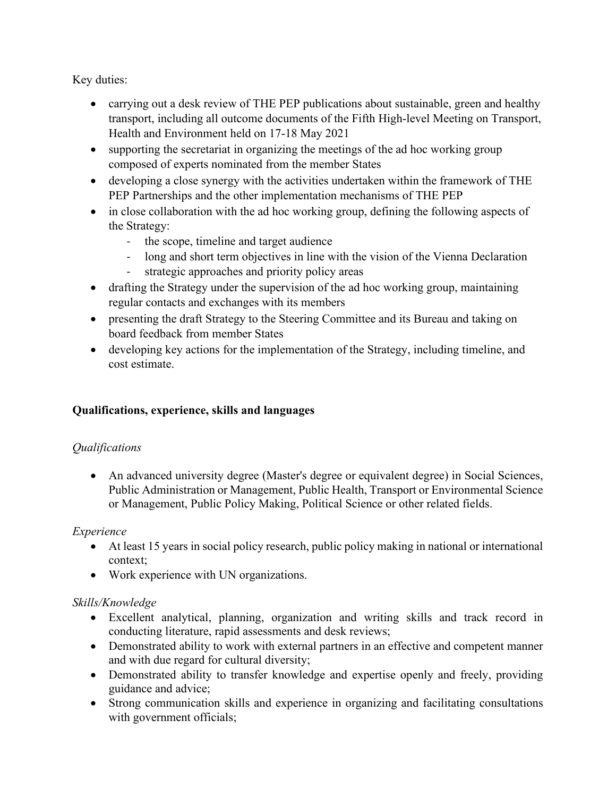Key duties:

- carrying out a desk review of THE PEP publications about sustainable, green and healthy transport, including all outcome documents of the Fifth High-level Meeting on Transport, Health and Environment held on 17-18 May 2021
- supporting the secretariat in organizing the meetings of the ad hoc working group composed of experts nominated from the member States
- developing a close synergy with the activities undertaken within the framework of THE PEP Partnerships and the other implementation mechanisms of THE PEP
- in close collaboration with the ad hoc working group, defining the following aspects of the Strategy:
	- the scope, timeline and target audience
	- long and short term objectives in line with the vision of the Vienna Declaration
	- strategic approaches and priority policy areas
- drafting the Strategy under the supervision of the ad hoc working group, maintaining regular contacts and exchanges with its members
- presenting the draft Strategy to the Steering Committee and its Bureau and taking on board feedback from member States
- developing key actions for the implementation of the Strategy, including timeline, and cost estimate.

## **Qualifications, experience, skills and languages**

## *Qualifications*

• An advanced university degree (Master's degree or equivalent degree) in Social Sciences, Public Administration or Management, Public Health, Transport or Environmental Science or Management, Public Policy Making, Political Science or other related fields.

#### *Experience*

- At least 15 years in social policy research, public policy making in national or international context;
- Work experience with UN organizations.

## *Skills/Knowledge*

- Excellent analytical, planning, organization and writing skills and track record in conducting literature, rapid assessments and desk reviews;
- Demonstrated ability to work with external partners in an effective and competent manner and with due regard for cultural diversity;
- Demonstrated ability to transfer knowledge and expertise openly and freely, providing guidance and advice;
- Strong communication skills and experience in organizing and facilitating consultations with government officials;